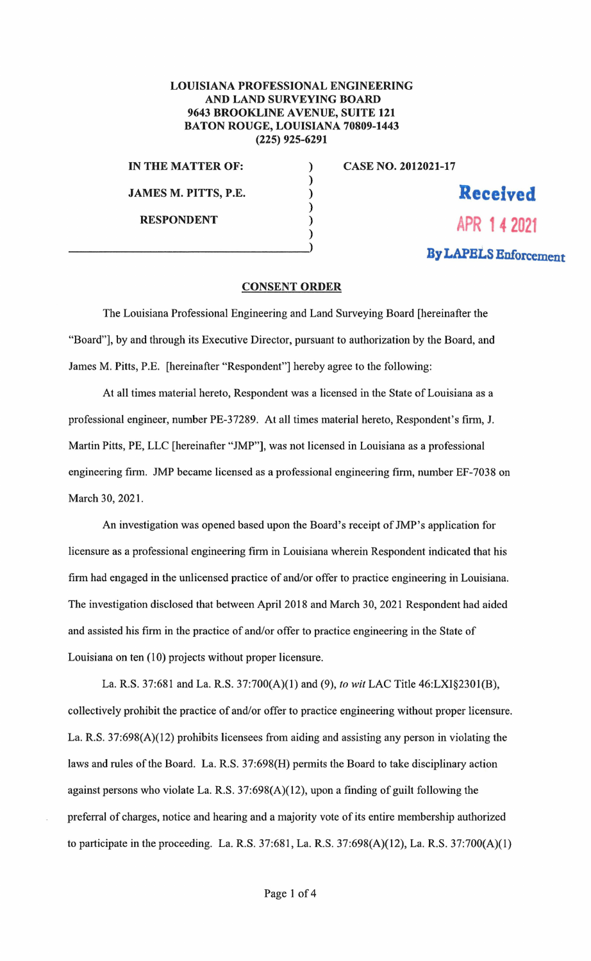## LOUISIANA PROFESSIONAL ENGINEERING AND LAND SURVEYING BOARD 9643 BROOKLINE AVENUE, SUITE 121 BATON ROUGE, LOUISIANA 70809-1443 (225) 925-6291

) ) ) ) ) )

**IN THE MATTER OF: JAMES M. PITTS, P.E. RESPONDENT** 

**CASE NO. 2012021-17** 

**Received APR 14 2021** 

**By LAPBi.S Enforcement** 

## **CONSENT ORDER**

The Louisiana Professional Engineering and Land Surveying Board [hereinafter the "Board"], by and through its Executive Director, pursuant to authorization by the Board, and James M. Pitts, P.E. [hereinafter "Respondent"] hereby agree to the following:

At all times material hereto, Respondent was a licensed in the State of Louisiana as a professional engineer, number PE-37289. At all times material hereto, Respondent's firm, J. Martin Pitts, PE, LLC [hereinafter "JMP"], was not licensed in Louisiana as a professional engineering firm. JMP became licensed as a professional engineering firm, number EF-7038 on March 30, 2021.

An investigation was opened based upon the Board's receipt of JMP's application for licensure as a professional engineering firm in Louisiana wherein Respondent indicated that his finn had engaged in the unlicensed practice of and/or offer to practice engineering in Louisiana. The investigation disclosed that between April 2018 and March 30, 2021 Respondent had aided and assisted his firm in the practice of and/or offer to practice engineering in the State of Louisiana on ten (10) projects without proper licensure.

La. R.S. 37:681 and La. R.S. 37:700(A)(l) and (9), *to wit* LAC Title 46:LXI§230l(B), collectively prohibit the practice of and/or offer to practice engineering without proper licensure. La. R.S. 37:698(A)(12) prohibits licensees from aiding and assisting any person in violating the laws and rules of the Board. La. R.S. 37:698(H) permits the Board to take disciplinary action against persons who violate La. R.S.  $37:698(A)(12)$ , upon a finding of guilt following the preferral of charges, notice and hearing and a majority vote of its entire membership authorized to participate in the proceeding. La. R.S. 37:681, La. R.S. 37:698(A)(12), La. R.S. 37:700(A)(1)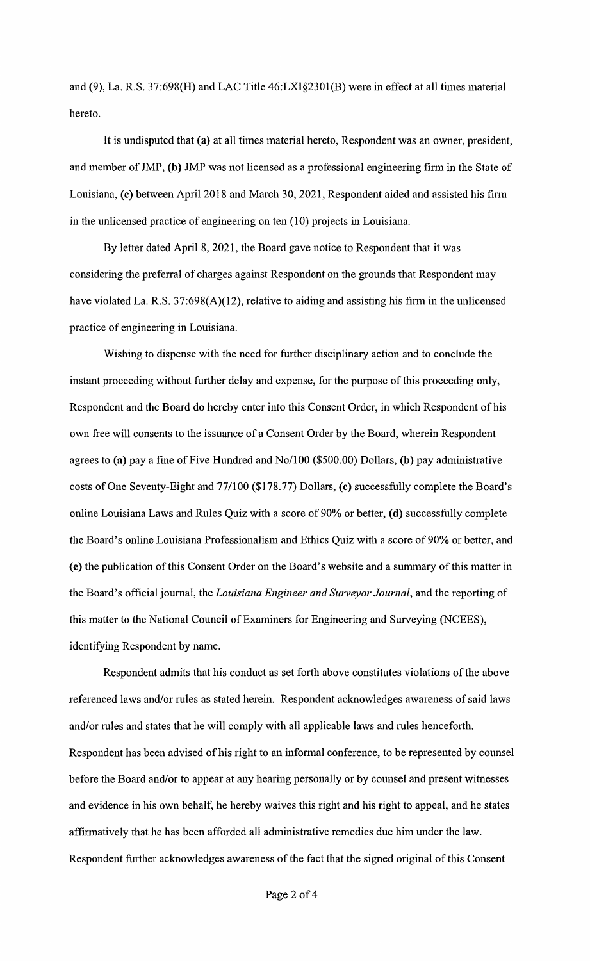and (9), La. R.S. 37:698(H) and LAC Title 46:LXI§230l(B) were in effect at all times material hereto.

It is undisputed that **(a)** at all times material hereto, Respondent was an owner, president, and member of JMP, **(b)** JMP was not licensed as a professional engineering finn in the State of Louisiana, (c) between April 2018 and March 30, 2021, Respondent aided and assisted his firm in the unlicensed practice of engineering on ten (10) projects in Louisiana.

By letter dated April 8, 2021, the Board gave notice to Respondent that it was considering the preferral of charges against Respondent on the grounds that Respondent may have violated La. R.S.  $37:698(A)(12)$ , relative to aiding and assisting his firm in the unlicensed practice of engineering in Louisiana.

Wishing to dispense with the need for further disciplinary action and to conclude the instant proceeding without further delay and expense, for the purpose of this proceeding only, Respondent and the Board do hereby enter into this Consent Order, in which Respondent of his own free will consents to the issuance of a Consent Order by the Board, wherein Respondent agrees to **(a)** pay a fine of Five Hundred and No/100 (\$500.00) Dollars, **(b)** pay administrative costs of One Seventy-Eight and 77/100 (\$178.77) Dollars, **(c)** successfully complete the Board's online Louisiana Laws and Rules Quiz with a score of 90% or better, **(d)** successfully complete the Board's online Louisiana Professionalism and Ethics Quiz with a score of 90% or better, and (e) the publication of this Consent Order on the Board's website and a summary of this matter in the Board's official journal, the *Louisiana Engineer and Surveyor Journal*, and the reporting of this matter to the National Council of Examiners for Engineering and Surveying (NCEES), identifying Respondent by name.

Respondent admits that his conduct as set forth above constitutes violations of the above referenced laws and/or mles as stated herein. Respondent acknowledges awareness of said laws and/or mles and states that he will comply with all applicable laws and mies henceforth. Respondent has been advised of his right to an informal conference, to be represented by counsel before the Board and/or to appear at any hearing personally or by counsel and present witnesses and evidence in his own behalf, he hereby waives this right and his right to appeal, and he states affinnatively that he has been afforded all administrative remedies due him under the law. Respondent further acknowledges awareness of the fact that the signed original of this Consent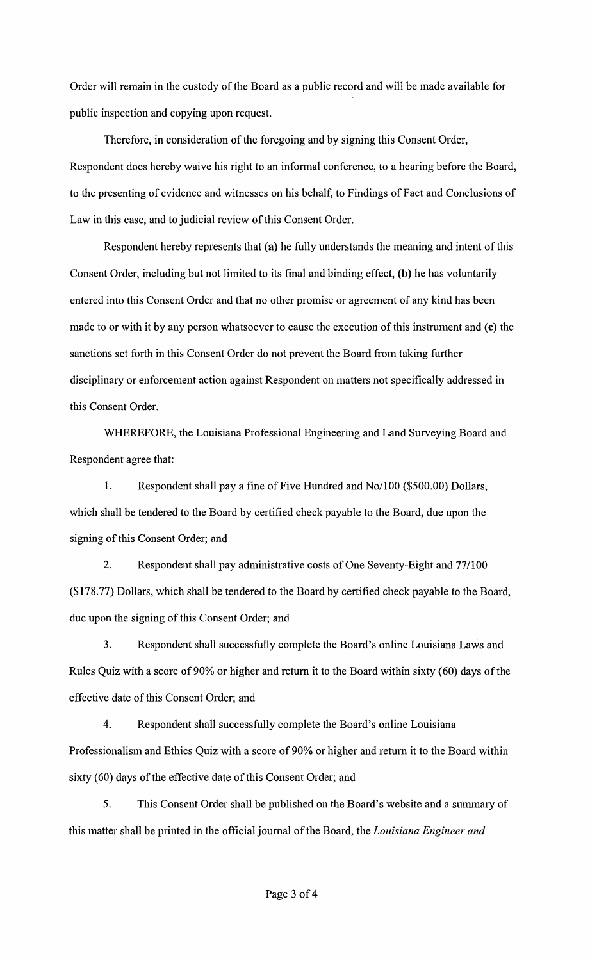Order will remain in the custody of the Board as a public record and will be made available for public inspection and copying upon request.

Therefore, in consideration of the foregoing and by signing this Consent Order, Respondent does hereby waive his right to an informal conference, to a hearing before the Board, to the presenting of evidence and witnesses on his behalf, to Findings of Fact and Conclusions of Law in this case, and to judicial review of this Consent Order.

Respondent hereby represents that (a) he fully understands the meaning and intent of this Consent Order, including but not limited to its final and binding effect, **(b)** he has voluntarily entered into this Consent Order and that no other promise or agreement of any kind has been made to or with it by any person whatsoever to cause the execution of this instrument and (c) the sanctions set forth in this Consent Order do not prevent the Board from taking further disciplinary or enforcement action against Respondent on matters not specifically addressed in this Consent Order.

WHEREFORE, the Louisiana Professional Engineering and Land Surveying Board and Respondent agree that:

1. Respondent shall pay a fine of Five Hundred and No/100 (\$500.00) Dollars, which shall be tendered to the Board by certified check payable to the Board, due upon the signing of this Consent Order; and

2. Respondent shall pay administrative costs of One Seventy-Eight and 77/100 (\$178. 77) Dollars, which shall be tendered to the Board by certified check payable to the Board, due upon the signing of this Consent Order; and

3. Respondent shall successfully complete the Board's online Louisiana Laws and Rules Quiz with a score of90% or higher and return it to the Board within sixty (60) days of the effective date of this Consent Order; and

4. Respondent shall successfully complete the Board's online Louisiana Professionalism and Ethics Quiz with a score of 90% or higher and return it to the Board within sixty (60) days of the effective date of this Consent Order; and

5. This Consent Order shall be published on the Board's website and a summaty of this matter shall be printed in the official journal of the Board, the *Louisiana Engineer and*